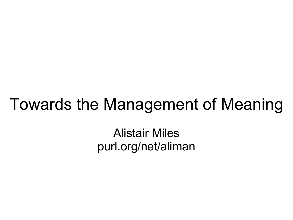#### Towards the Management of Meaning

Alistair Miles purl.org/net/aliman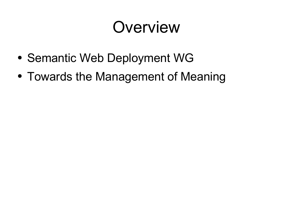### Overview

- Semantic Web Deployment WG
- Towards the Management of Meaning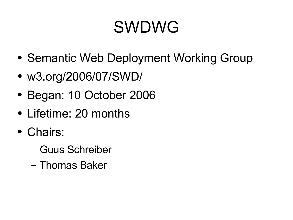## SWDWG

- Semantic Web Deployment Working Group
- w3.org/2006/07/SWD/
- Began: 10 October 2006
- Lifetime: 20 months
- Chairs:
	- Guus Schreiber
	- Thomas Baker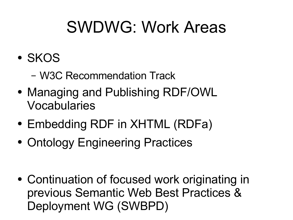### SWDWG: Work Areas

- SKOS
	- W3C Recommendation Track
- Managing and Publishing RDF/OWL Vocabularies
- Embedding RDF in XHTML (RDFa)
- Ontology Engineering Practices

• Continuation of focused work originating in previous Semantic Web Best Practices & Deployment WG (SWBPD)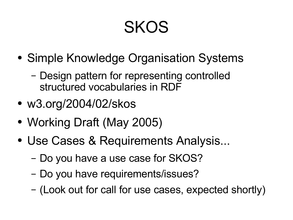### SKOS

- Simple Knowledge Organisation Systems
	- Design pattern for representing controlled structured vocabularies in RDF
- w3.org/2004/02/skos
- Working Draft (May 2005)
- Use Cases & Requirements Analysis...
	- Do you have a use case for SKOS?
	- Do you have requirements/issues?
	- (Look out for call for use cases, expected shortly)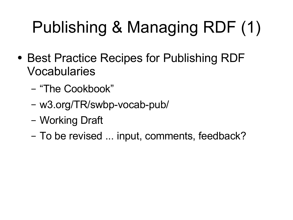# Publishing & Managing RDF (1)

- Best Practice Recipes for Publishing RDF Vocabularies
	- "The Cookbook"
	- w3.org/TR/swbp-vocab-pub/
	- Working Draft
	- To be revised ... input, comments, feedback?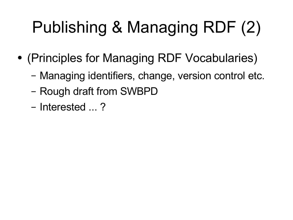# Publishing & Managing RDF (2)

- (Principles for Managing RDF Vocabularies)
	- Managing identifiers, change, version control etc.
	- Rough draft from SWBPD
	- Interested ... ?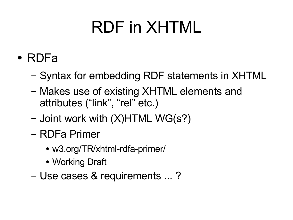## RDF in XHTML

- RDFa
	- Syntax for embedding RDF statements in XHTML
	- Makes use of existing XHTML elements and attributes ("link" , "rel" etc.)
	- Joint work with (X)HTML WG(s?)
	- RDFa Primer
		- w3.org/TR/xhtml-rdfa-primer/
		- Working Draft
	- Use cases & requirements ... ?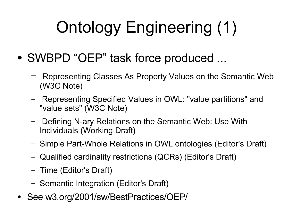# Ontology Engineering (1)

- SWBPD "OEP" task force produced ...
	- Representing Classes As Property Values on the Semantic Web (W3C Note)
	- Representing Specified Values in OWL: "value partitions" and "value sets" (W3C Note)
	- Defining N-ary Relations on the Semantic Web: Use With Individuals (Working Draft)
	- Simple Part-Whole Relations in OWL ontologies (Editor's Draft)
	- Qualified cardinality restrictions (QCRs) (Editor's Draft)
	- Time (Editor's Draft)
	- Semantic Integration (Editor's Draft)
- See w3.org/2001/sw/BestPractices/OEP/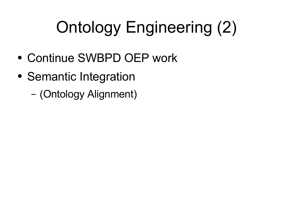# Ontology Engineering (2)

- Continue SWBPD OEP work
- Semantic Integration
	- (Ontology Alignment)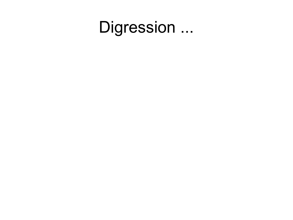#### Digression ...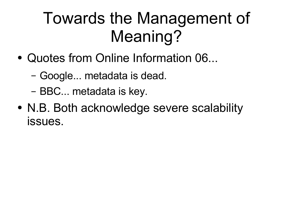### Towards the Management of Meaning?

- Quotes from Online Information 06...
	- Google... metadata is dead.
	- BBC... metadata is key.
- N.B. Both acknowledge severe scalability issues.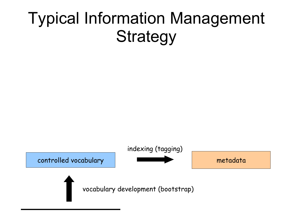### Typical Information Management **Strategy**

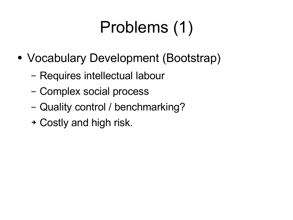# Problems (1)

- Vocabulary Development (Bootstrap)
	- Requires intellectual labour
	- Complex social process
	- Quality control / benchmarking?
	- ➔ Costly and high risk.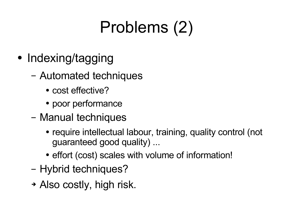# Problems (2)

- Indexing/tagging
	- Automated techniques
		- cost effective?
		- poor performance
	- Manual techniques
		- require intellectual labour, training, quality control (not guaranteed good quality) ...
		- effort (cost) scales with volume of information!
	- Hybrid techniques?
	- ➔ Also costly, high risk.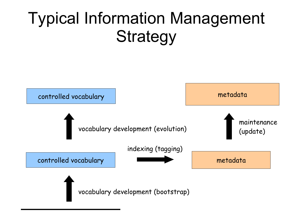### Typical Information Management **Strategy**

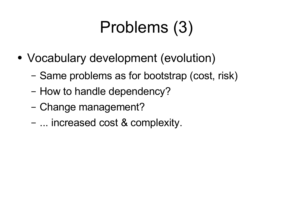## Problems (3)

- Vocabulary development (evolution)
	- Same problems as for bootstrap (cost, risk)
	- How to handle dependency?
	- Change management?
	- ... increased cost & complexity.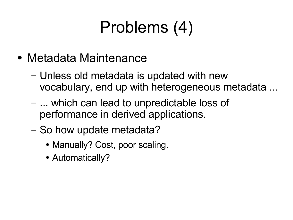# Problems (4)

- Metadata Maintenance
	- Unless old metadata is updated with new vocabulary, end up with heterogeneous metadata ...
	- ... which can lead to unpredictable loss of performance in derived applications.
	- So how update metadata?
		- Manually? Cost, poor scaling.
		- Automatically?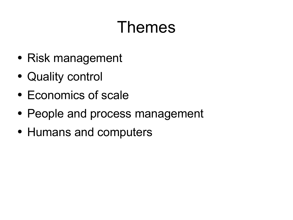### Themes

- Risk management
- Quality control
- Economics of scale
- People and process management
- Humans and computers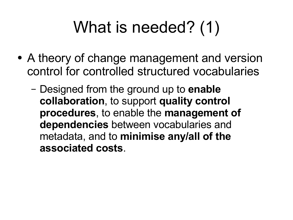## What is needed? (1)

- A theory of change management and version control for controlled structured vocabularies
	- Designed from the ground up to **enable collaboration**, to support **quality control procedures**, to enable the **management of dependencies** between vocabularies and metadata, and to **minimise any/all of the associated costs**.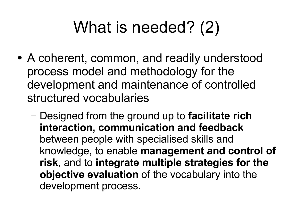## What is needed? (2)

- A coherent, common, and readily understood process model and methodology for the development and maintenance of controlled structured vocabularies
	- Designed from the ground up to **facilitate rich interaction, communication and feedback** between people with specialised skills and knowledge, to enable **management and control of risk**, and to **integrate multiple strategies for the objective evaluation** of the vocabulary into the development process.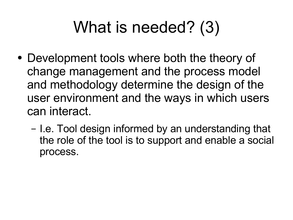## What is needed? (3)

- Development tools where both the theory of change management and the process model and methodology determine the design of the user environment and the ways in which users can interact.
	- I.e. Tool design informed by an understanding that the role of the tool is to support and enable a social process.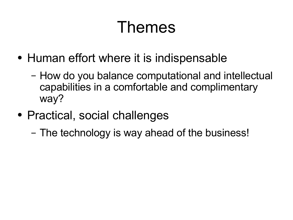### Themes

- Human effort where it is indispensable
	- How do you balance computational and intellectual capabilities in a comfortable and complimentary way?
- Practical, social challenges
	- The technology is way ahead of the business!